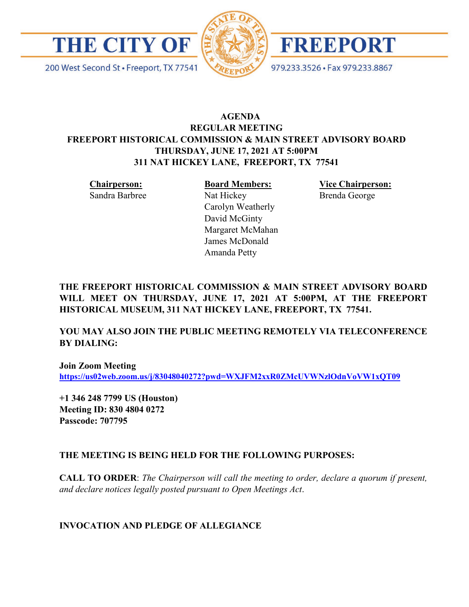

200 West Second St · Freeport, TX 77541





979.233.3526 · Fax 979.233.8867

# **AGENDA REGULAR MEETING FREEPORT HISTORICAL COMMISSION & MAIN STREET ADVISORY BOARD THURSDAY, JUNE 17, 2021 AT 5:00PM 311 NAT HICKEY LANE, FREEPORT, TX 77541**

**Chairperson:** Sandra Barbree **Board Members:** Nat Hickey Carolyn Weatherly David McGinty Margaret McMahan James McDonald Amanda Petty

**Vice Chairperson:** Brenda George

**THE FREEPORT HISTORICAL COMMISSION & MAIN STREET ADVISORY BOARD WILL MEET ON THURSDAY, JUNE 17, 2021 AT 5:00PM, AT THE FREEPORT HISTORICAL MUSEUM, 311 NAT HICKEY LANE, FREEPORT, TX 77541.**

**YOU MAY ALSO JOIN THE PUBLIC MEETING REMOTELY VIA TELECONFERENCE BY DIALING:**

**Join Zoom Meeting <https://us02web.zoom.us/j/83048040272?pwd=WXJFM2xxR0ZMcUVWNzlOdnVoVW1xQT09>**

**+1 346 248 7799 US (Houston) Meeting ID: 830 4804 0272 Passcode: 707795**

## **THE MEETING IS BEING HELD FOR THE FOLLOWING PURPOSES:**

**CALL TO ORDER**: *The Chairperson will call the meeting to order, declare a quorum if present, and declare notices legally posted pursuant to Open Meetings Act*.

## **INVOCATION AND PLEDGE OF ALLEGIANCE**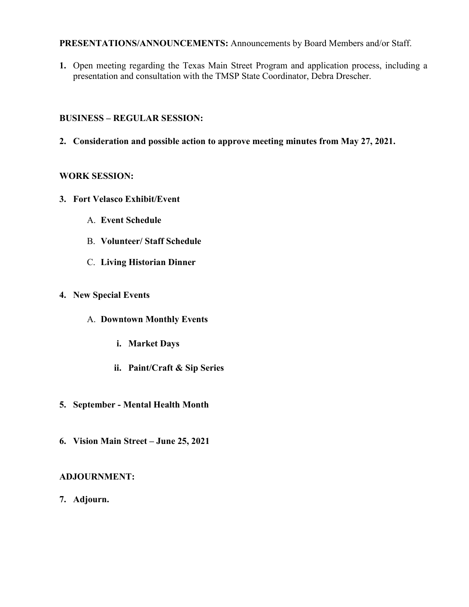#### **PRESENTATIONS/ANNOUNCEMENTS:** Announcements by Board Members and/or Staff.

**1.** Open meeting regarding the Texas Main Street Program and application process, including a presentation and consultation with the TMSP State Coordinator, Debra Drescher.

## **BUSINESS – REGULAR SESSION:**

**2. Consideration and possible action to approve meeting minutes from May 27, 2021.** 

# **WORK SESSION:**

- **3. Fort Velasco Exhibit/Event** 
	- A. **Event Schedule**
	- B. **Volunteer/ Staff Schedule**
	- C. **Living Historian Dinner**
- **4. New Special Events**
	- A. **Downtown Monthly Events**
		- **i. Market Days**
		- **ii. Paint/Craft & Sip Series**
- **5. September - Mental Health Month**
- **6. Vision Main Street – June 25, 2021**

# **ADJOURNMENT:**

**7. Adjourn.**